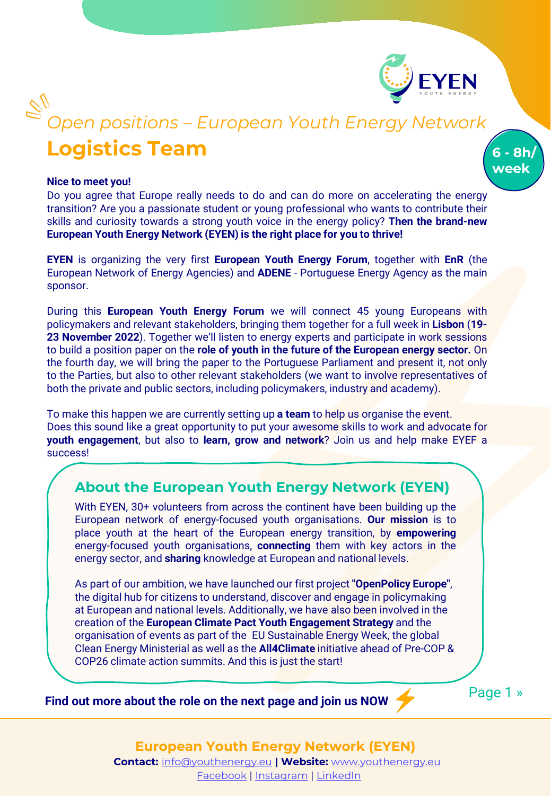

**6 - 8h/ week**

# **Logistics Team** *Open positions – European Youth Energy Network*

#### **Nice to meet you!**

Do you agree that Europe really needs to do and can do more on accelerating the energy transition? Are you a passionate student or young professional who wants to contribute their skills and curiosity towards a strong youth voice in the energy policy? **Then the brand-new European Youth Energy Network (EYEN) is the right place for you to thrive!**

**EYEN** is organizing the very first **European Youth Energy Forum**, together with **EnR** (the European Network of Energy Agencies) and **ADENE** - Portuguese Energy Agency as the main sponsor.

During this **European Youth Energy Forum** we will connect 45 young Europeans with policymakers and relevant stakeholders, bringing them together for a full week in **Lisbon** (**19- 23 November 2022**). Together we'll listen to energy experts and participate in work sessions to build a position paper on the **role of youth in the future of the European energy sector.** On the fourth day, we will bring the paper to the Portuguese Parliament and present it, not only to the Parties, but also to other relevant stakeholders (we want to involve representatives of both the private and public sectors, including policymakers, industry and academy).

To make this happen we are currently setting up **a team** to help us organise the event. Does this sound like a great opportunity to put your awesome skills to work and advocate for **youth engagement**, but also to **learn, grow and network**? Join us and help make EYEF a success!

### **About the European Youth Energy Network (EYEN)**

With EYEN, 30+ volunteers from across the continent have been building up the European network of energy-focused youth organisations. **Our mission** is to place youth at the heart of the European energy transition, by **empowering** energy-focused youth organisations, **connecting** them with key actors in the energy sector, and **sharing** knowledge at European and national levels.

As part of our ambition, we have launched our first project **"OpenPolicy Europe"**, the digital hub for citizens to understand, discover and engage in policymaking at European and national levels. Additionally, we have also been involved in the creation of the **European Climate Pact Youth Engagement Strategy** and the organisation of events as part of the EU Sustainable Energy Week, the global Clean Energy Ministerial as well as the **All4Climate** initiative ahead of Pre-COP & COP26 climate action summits. And this is just the start!

**Find out more about the role on the next page and join us NOW** 

Page 1 »

**European Youth Energy Network (EYEN)**

**Contact:** [info@youthenergy.eu](mailto:info@youthenergy.eu) **| Website:** [www.youthenergy.eu](http://www.youthenergy.eu/) [Facebook](https://www.facebook.com/EYENYouthEnergy) | [Instagram](https://www.instagram.com/eyen_youthenergy/) | [LinkedIn](https://www.linkedin.com/company/eyenyouthenergy/)